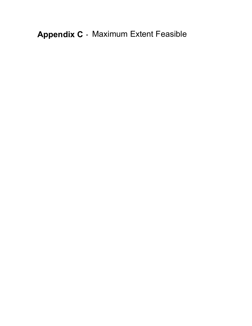**Appendix C** - Maximum Extent Feasible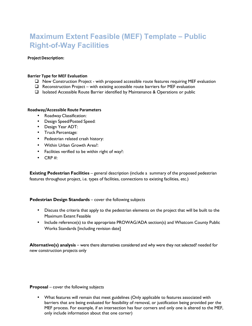# **Maximum Extent Feasible (MEF) Template – Public Right-of-Way Facilities**

# **Project Description:**

#### **Barrier Type for MEF Evaluation**

- New Construction Project with proposed accessible route features requiring MEF evaluation
- $\Box$  Reconstruction Project with existing accessible route barriers for MEF evaluation
- Isolated Accessible Route Barrier identified by Maintenance & Operations or public

#### **Roadway/Accessible Route Parameters**

- Roadway Classification:
- Design Speed/Posted Speed:
- Design Year ADT:
- Truck Percentage:
- Pedestrian related crash history:
- Within Urban Growth Area?:
- Facilities verified to be within right of way?:
- $\bullet$  CRP#:

**Existing Pedestrian Facilities** – general description (include a summary of the proposed pedestrian features throughout project, i.e. types of facilities, connections to existing facilities, etc.)

### **Pedestrian Design Standards** – cover the following subjects

- Discuss the criteria that apply to the pedestrian elements on the project that will be built to the Maximum Extent Feasible
- Include reference(s) to the appropriate PROWAG/ADA section(s) and Whatcom County Public Works Standards [including revision date]

**Alternative(s) analysis** – were there alternatives considered and why were they not selected? needed for new construction projects only

**Proposal** – cover the following subjects

• What features will remain that meet guidelines (Only applicable to features associated with barriers that are being evaluated for feasibility of removal, or justification being provided per the MEF process. For example, if an intersection has four corners and only one is altered to the MEF, only include information about that one corner)